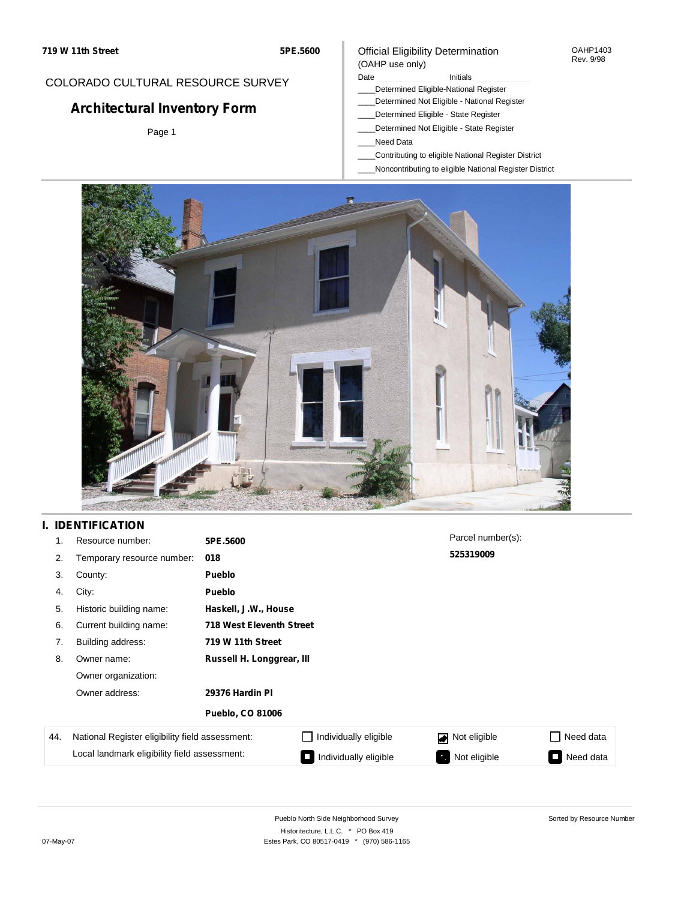#### OAHP1403 Rev. 9/98

## COLORADO CULTURAL RESOURCE SURVEY

# **Architectural Inventory Form**

Page 1

# (OAHP use only)

Date **Initials** Initials \_\_\_\_Determined Eligible-National Register

Official Eligibility Determination

- \_\_\_\_Determined Not Eligible National Register
- \_\_\_\_Determined Eligible State Register
- \_\_\_\_Determined Not Eligible State Register
- \_\_\_\_Need Data
- \_\_\_\_Contributing to eligible National Register District
- \_\_\_\_Noncontributing to eligible National Register District



### **I. IDENTIFICATION**

| 1.  | Resource number:                                | 5PE.5600                        |                       | Parcel number(s):  |           |
|-----|-------------------------------------------------|---------------------------------|-----------------------|--------------------|-----------|
| 2.  | Temporary resource number:                      | 018                             |                       | 525319009          |           |
| 3.  | County:                                         | <b>Pueblo</b>                   |                       |                    |           |
| 4.  | City:                                           | <b>Pueblo</b>                   |                       |                    |           |
| 5.  | Historic building name:                         | Haskell, J.W., House            |                       |                    |           |
| 6.  | Current building name:                          | <b>718 West Eleventh Street</b> |                       |                    |           |
| 7.  | Building address:                               | 719 W 11th Street               |                       |                    |           |
| 8.  | Owner name:                                     | Russell H. Longgrear, III       |                       |                    |           |
|     | Owner organization:                             |                                 |                       |                    |           |
|     | Owner address:                                  | 29376 Hardin PI                 |                       |                    |           |
|     |                                                 | <b>Pueblo, CO 81006</b>         |                       |                    |           |
| 44. | National Register eligibility field assessment: |                                 | Individually eligible | Not eligible       | Need data |
|     | Local landmark eligibility field assessment:    |                                 | Individually eligible | Not eligible<br>۰, | Need data |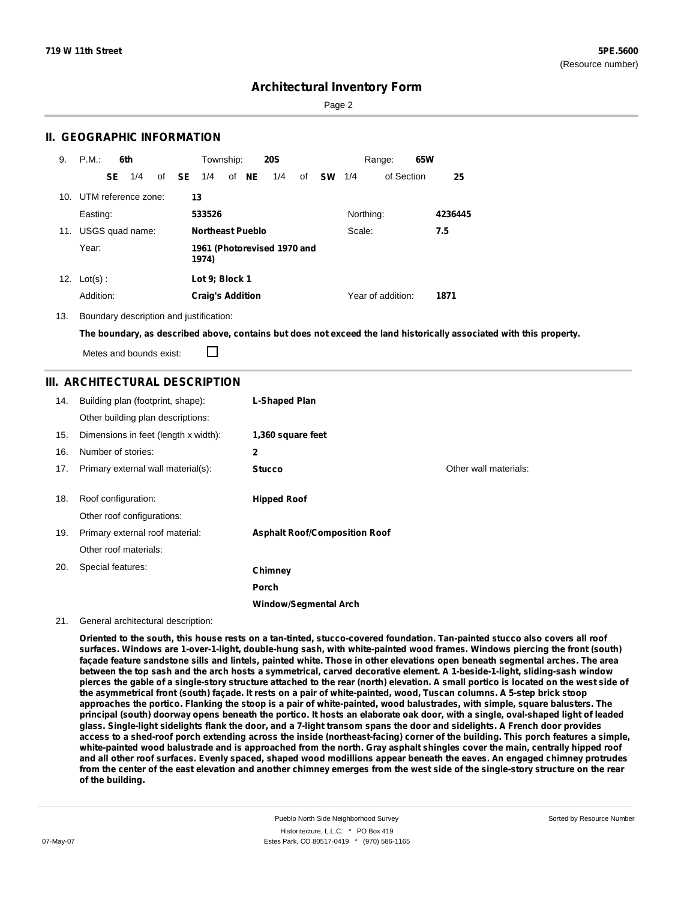Page 2

### **II. GEOGRAPHIC INFORMATION**

| 9.  | P.M.                    |           | 6th             |              | Township:               |       | <b>20S</b>                  |    |           |           | Range:            | 65W |         |
|-----|-------------------------|-----------|-----------------|--------------|-------------------------|-------|-----------------------------|----|-----------|-----------|-------------------|-----|---------|
|     |                         | <b>SE</b> | 1/4             | of <b>SE</b> | 1/4                     | of NE | 1/4                         | of | <b>SW</b> | 1/4       | of Section        |     | 25      |
|     | 10. UTM reference zone: |           |                 |              | 13                      |       |                             |    |           |           |                   |     |         |
|     | Easting:                |           |                 |              | 533526                  |       |                             |    |           | Northing: |                   |     | 4236445 |
| 11. |                         |           | USGS quad name: |              | <b>Northeast Pueblo</b> |       |                             |    |           | Scale:    |                   |     | 7.5     |
|     | Year:                   |           |                 |              | 1974)                   |       | 1961 (Photorevised 1970 and |    |           |           |                   |     |         |
| 12. | $Lot(s)$ :              |           |                 |              | Lot 9: Block 1          |       |                             |    |           |           |                   |     |         |
|     | Addition:               |           |                 |              | <b>Craig's Addition</b> |       |                             |    |           |           | Year of addition: |     | 1871    |

13. Boundary description and justification:

The boundary, as described above, contains but does not exceed the land historically associated with this property.

Metes and bounds exist:

П

### **III. ARCHITECTURAL DESCRIPTION**

| 14. | Building plan (footprint, shape):<br>Other building plan descriptions: | <b>L-Shaped Plan</b>                 |                       |
|-----|------------------------------------------------------------------------|--------------------------------------|-----------------------|
| 15. | Dimensions in feet (length x width):                                   | 1,360 square feet                    |                       |
| 16. | Number of stories:                                                     | $\mathbf{2}$                         |                       |
| 17. | Primary external wall material(s):                                     | <b>Stucco</b>                        | Other wall materials: |
| 18. | Roof configuration:<br>Other roof configurations:                      | <b>Hipped Roof</b>                   |                       |
| 19. | Primary external roof material:                                        | <b>Asphalt Roof/Composition Roof</b> |                       |
|     | Other roof materials:                                                  |                                      |                       |
| 20. | Special features:                                                      | Chimney                              |                       |
|     |                                                                        | Porch                                |                       |
|     |                                                                        | <b>Window/Segmental Arch</b>         |                       |

#### 21. General architectural description:

Oriented to the south, this house rests on a tan-tinted, stucco-covered foundation. Tan-painted stucco also covers all roof surfaces. Windows are 1-over-1-light, double-hung sash, with white-painted wood frames. Windows piercing the front (south) façade feature sandstone sills and lintels, painted white. Those in other elevations open beneath segmental arches. The area between the top sash and the arch hosts a symmetrical, carved decorative element. A 1-beside-1-light, sliding-sash window pierces the gable of a single-story structure attached to the rear (north) elevation. A small portico is located on the west side of the asymmetrical front (south) façade. It rests on a pair of white-painted, wood, Tuscan columns. A 5-step brick stoop approaches the portico. Flanking the stoop is a pair of white-painted, wood balustrades, with simple, square balusters. The principal (south) doorway opens beneath the portico. It hosts an elaborate oak door, with a single, oval-shaped light of leaded glass. Single-light sidelights flank the door, and a 7-light transom spans the door and sidelights. A French door provides access to a shed-roof porch extending across the inside (northeast-facing) corner of the building. This porch features a simple, white-painted wood balustrade and is approached from the north. Gray asphalt shingles cover the main, centrally hipped roof and all other roof surfaces. Evenly spaced, shaped wood modillions appear beneath the eaves. An engaged chimney protrudes from the center of the east elevation and another chimney emerges from the west side of the single-story structure on the rear **of the building.**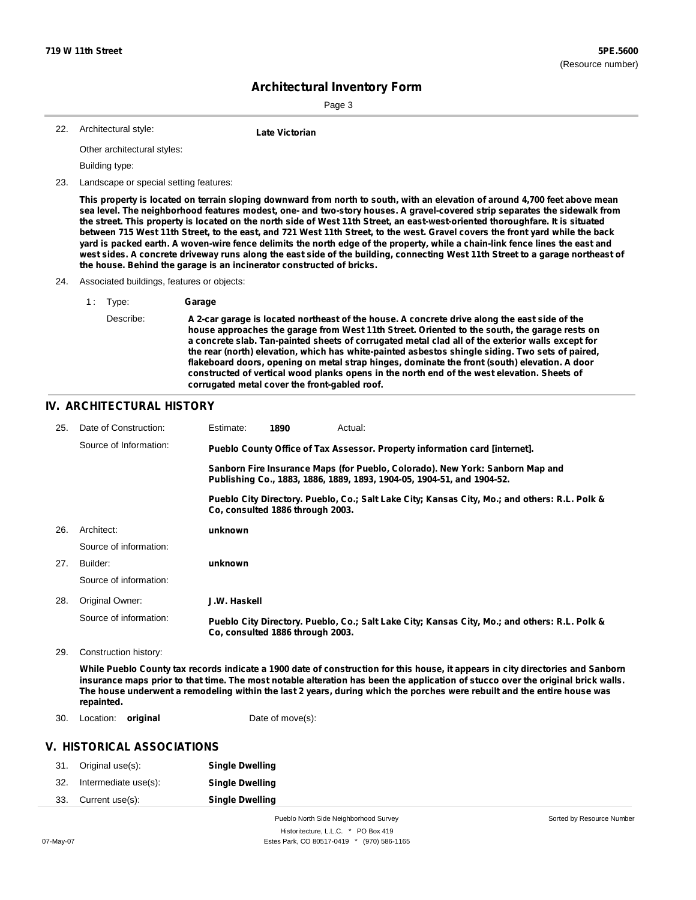Sorted by Resource Number

## **Architectural Inventory Form**

Page 3

| 22. | Architectural style: |  |
|-----|----------------------|--|
|-----|----------------------|--|

**Late Victorian** 

Other architectural styles:

Building type:

23. Landscape or special setting features:

This property is located on terrain sloping downward from north to south, with an elevation of around 4,700 feet above mean sea level. The neighborhood features modest, one- and two-story houses. A gravel-covered strip separates the sidewalk from the street. This property is located on the north side of West 11th Street, an east-west-oriented thoroughfare. It is situated between 715 West 11th Street, to the east, and 721 West 11th Street, to the west. Gravel covers the front yard while the back yard is packed earth. A woven-wire fence delimits the north edge of the property, while a chain-link fence lines the east and west sides. A concrete driveway runs along the east side of the building, connecting West 11th Street to a garage northeast of **the house. Behind the garage is an incinerator constructed of bricks.**

- 24. Associated buildings, features or objects:
	- 1 : Type: **Garage**

Describe: A 2-car garage is located northeast of the house. A concrete drive along the east side of the **house approaches the garage from West 11th Street. Oriented to the south, the garage rests on a concrete slab. Tan-painted sheets of corrugated metal clad all of the exterior walls except for the rear (north) elevation, which has white-painted asbestos shingle siding. Two sets of paired, flakeboard doors, opening on metal strap hinges, dominate the front (south) elevation. A door constructed of vertical wood planks opens in the north end of the west elevation. Sheets of corrugated metal cover the front-gabled roof.**

#### **IV. ARCHITECTURAL HISTORY**

| 25. | Date of Construction:  | Estimate:    | 1890                             | Actual:                                                                                                                                                 |
|-----|------------------------|--------------|----------------------------------|---------------------------------------------------------------------------------------------------------------------------------------------------------|
|     | Source of Information: |              |                                  | Pueblo County Office of Tax Assessor. Property information card [internet].                                                                             |
|     |                        |              |                                  | Sanborn Fire Insurance Maps (for Pueblo, Colorado). New York: Sanborn Map and<br>Publishing Co., 1883, 1886, 1889, 1893, 1904-05, 1904-51, and 1904-52. |
|     |                        |              | Co, consulted 1886 through 2003. | Pueblo City Directory. Pueblo, Co.; Salt Lake City; Kansas City, Mo.; and others: R.L. Polk &                                                           |
| 26. | Architect:             | unknown      |                                  |                                                                                                                                                         |
|     | Source of information: |              |                                  |                                                                                                                                                         |
| 27. | Builder:               | unknown      |                                  |                                                                                                                                                         |
|     | Source of information: |              |                                  |                                                                                                                                                         |
| 28. | Original Owner:        | J.W. Haskell |                                  |                                                                                                                                                         |
|     | Source of information: |              | Co. consulted 1886 through 2003. | Pueblo City Directory. Pueblo, Co.; Salt Lake City; Kansas City, Mo.; and others: R.L. Polk &                                                           |
| 29. | Construction history:  |              |                                  |                                                                                                                                                         |
|     |                        |              |                                  | While Duable Ceuptutov seessel indicate a 1000 data of construction for this house it announced in eity discotories and Canho                           |

While Pueblo County tax records indicate a 1900 date of construction for this house, it appears in city directories and Sanborn insurance maps prior to that time. The most notable alteration has been the application of stucco over the original brick walls. The house underwent a remodeling within the last 2 years, during which the porches were rebuilt and the entire house was **repainted.**

30. Location: **original Date of move(s):** 

### **V. HISTORICAL ASSOCIATIONS**

| 31. | Original use(s):     | <b>Single Dwelling</b> |
|-----|----------------------|------------------------|
| 32. | Intermediate use(s): | <b>Single Dwelling</b> |
| 33. | Current use(s):      | <b>Single Dwelling</b> |

Pueblo North Side Neighborhood Survey Historitecture, L.L.C. \* PO Box 419 07-May-07 **Estes Park, CO 80517-0419** \* (970) 586-1165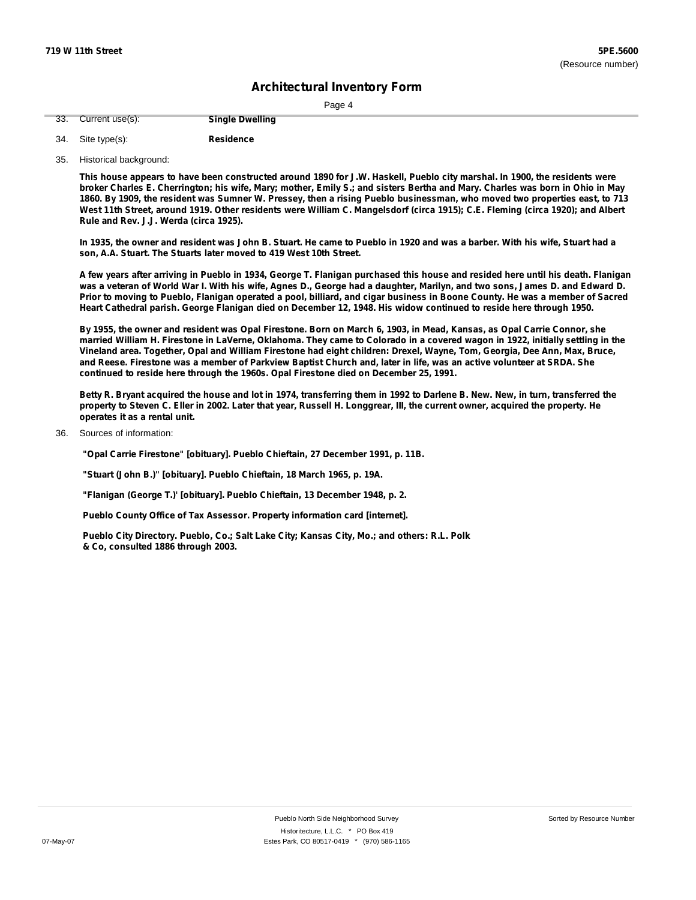|--|

| 33. Current use(s): | <b>Single Dwelling</b> |
|---------------------|------------------------|
|                     |                        |

| 34. Site type(s): | <b>Residence</b> |
|-------------------|------------------|

35. Historical background:

This house appears to have been constructed around 1890 for J.W. Haskell, Pueblo city marshal. In 1900, the residents were broker Charles E. Cherrington; his wife, Mary; mother, Emily S.; and sisters Bertha and Mary. Charles was born in Ohio in May 1860. By 1909, the resident was Sumner W. Pressey, then a rising Pueblo businessman, who moved two properties east, to 713 West 11th Street, around 1919. Other residents were William C. Mangelsdorf (circa 1915); C.E. Fleming (circa 1920); and Albert **Rule and Rev. J.J. Werda (circa 1925).**

In 1935, the owner and resident was John B. Stuart. He came to Pueblo in 1920 and was a barber. With his wife, Stuart had a **son, A.A. Stuart. The Stuarts later moved to 419 West 10th Street.**

A few years after arriving in Pueblo in 1934, George T. Flanigan purchased this house and resided here until his death. Flanigan was a veteran of World War I. With his wife, Agnes D., George had a daughter, Marilyn, and two sons, James D. and Edward D. Prior to moving to Pueblo, Flanigan operated a pool, billiard, and cigar business in Boone County. He was a member of Sacred Heart Cathedral parish. George Flanigan died on December 12, 1948. His widow continued to reside here through 1950.

By 1955, the owner and resident was Opal Firestone. Born on March 6, 1903, in Mead, Kansas, as Opal Carrie Connor, she married William H. Firestone in LaVerne, Oklahoma. They came to Colorado in a covered wagon in 1922, initially settling in the Vineland area. Together, Opal and William Firestone had eight children: Drexel, Wayne, Tom, Georgia, Dee Ann, Max, Bruce, and Reese. Firestone was a member of Parkview Baptist Church and, later in life, was an active volunteer at SRDA. She **continued to reside here through the 1960s. Opal Firestone died on December 25, 1991.**

Betty R. Bryant acquired the house and lot in 1974, transferring them in 1992 to Darlene B. New. New, in turn, transferred the property to Steven C. Eller in 2002. Later that year, Russell H. Longgrear, Ill, the current owner, acquired the property. He **operates it as a rental unit.**

Sources of information: 36.

**"Opal Carrie Firestone" [obituary]. Pueblo Chieftain, 27 December 1991, p. 11B.**

**"Stuart (John B.)" [obituary]. Pueblo Chieftain, 18 March 1965, p. 19A.**

**"Flanigan (George T.)' [obituary]. Pueblo Chieftain, 13 December 1948, p. 2.**

**Pueblo County Office of Tax Assessor. Property information card [internet].**

**Pueblo City Directory. Pueblo, Co.; Salt Lake City; Kansas City, Mo.; and others: R.L. Polk & Co, consulted 1886 through 2003.**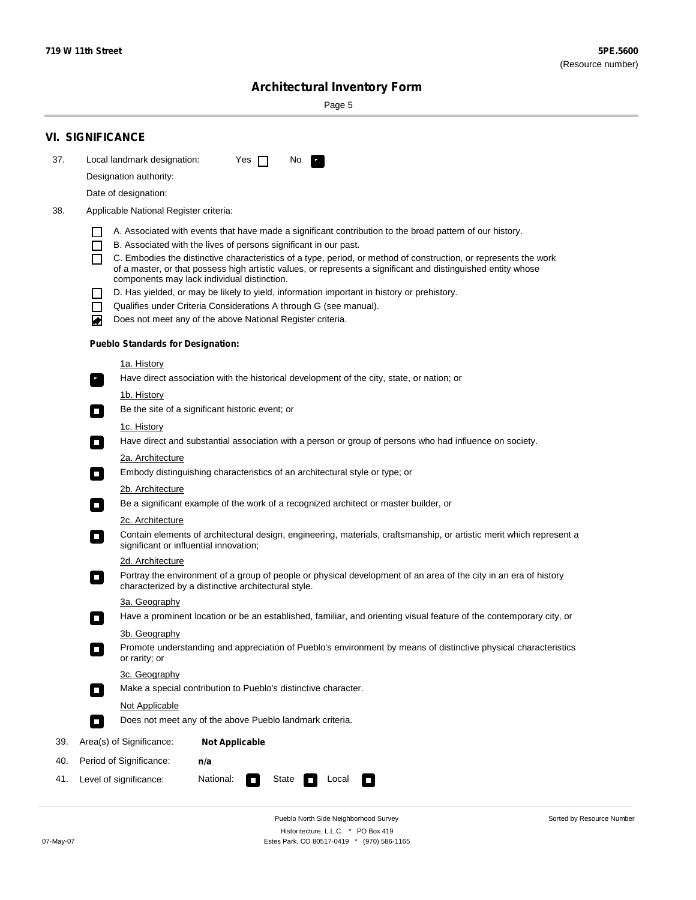Sorted by Resource Number

# **Architectural Inventory Form**

Page 5

|     | <b>VI. SIGNIFICANCE</b>                                                                                                                                                                        |
|-----|------------------------------------------------------------------------------------------------------------------------------------------------------------------------------------------------|
| 37. | Local landmark designation:<br>Yes $\Box$<br>No.<br>$\mathbf{F}_{\mathbf{r}}$                                                                                                                  |
|     | Designation authority:                                                                                                                                                                         |
|     | Date of designation:                                                                                                                                                                           |
| 38. | Applicable National Register criteria:                                                                                                                                                         |
|     |                                                                                                                                                                                                |
|     | A. Associated with events that have made a significant contribution to the broad pattern of our history.<br>B. Associated with the lives of persons significant in our past.<br>$\blacksquare$ |
|     | C. Embodies the distinctive characteristics of a type, period, or method of construction, or represents the work<br>П                                                                          |
|     | of a master, or that possess high artistic values, or represents a significant and distinguished entity whose<br>components may lack individual distinction.                                   |
|     | D. Has yielded, or may be likely to yield, information important in history or prehistory.                                                                                                     |
|     | Qualifies under Criteria Considerations A through G (see manual).<br>$\sim$                                                                                                                    |
|     | Does not meet any of the above National Register criteria.<br>₩                                                                                                                                |
|     | <b>Pueblo Standards for Designation:</b>                                                                                                                                                       |
|     | 1a. History                                                                                                                                                                                    |
|     | $\overline{\mathbf{r}}_1$<br>Have direct association with the historical development of the city, state, or nation; or                                                                         |
|     | <u>1b. History</u>                                                                                                                                                                             |
|     | Be the site of a significant historic event; or<br>$\overline{\phantom{a}}$                                                                                                                    |
|     | 1c. History                                                                                                                                                                                    |
|     | Have direct and substantial association with a person or group of persons who had influence on society.<br>$\overline{\phantom{a}}$                                                            |
|     | 2a. Architecture                                                                                                                                                                               |
|     | Embody distinguishing characteristics of an architectural style or type; or<br>$\Box$                                                                                                          |
|     | 2b. Architecture                                                                                                                                                                               |
|     | Be a significant example of the work of a recognized architect or master builder, or<br>$\Box$                                                                                                 |
|     | 2c. Architecture                                                                                                                                                                               |
|     | Contain elements of architectural design, engineering, materials, craftsmanship, or artistic merit which represent a<br>$\Box$<br>significant or influential innovation;                       |
|     | 2d. Architecture                                                                                                                                                                               |
|     | Portray the environment of a group of people or physical development of an area of the city in an era of history<br>$\Box$<br>characterized by a distinctive architectural style.              |
|     | 3a. Geography                                                                                                                                                                                  |
|     | Have a prominent location or be an established, familiar, and orienting visual feature of the contemporary city, or                                                                            |
|     | 3b. Geography<br>Promote understanding and appreciation of Pueblo's environment by means of distinctive physical characteristics                                                               |
|     | or rarity; or                                                                                                                                                                                  |
|     | 3c. Geography                                                                                                                                                                                  |
|     | Make a special contribution to Pueblo's distinctive character.<br>$\overline{\phantom{a}}$                                                                                                     |
|     | <b>Not Applicable</b>                                                                                                                                                                          |
|     | Does not meet any of the above Pueblo landmark criteria.<br>$\overline{\phantom{a}}$                                                                                                           |
| 39. | Area(s) of Significance:<br><b>Not Applicable</b>                                                                                                                                              |
| 40. | Period of Significance:<br>n/a                                                                                                                                                                 |
| 41. | National:<br>Level of significance:<br>State<br>Local<br>$\mathcal{L}_{\mathcal{A}}$<br>$\Box$                                                                                                 |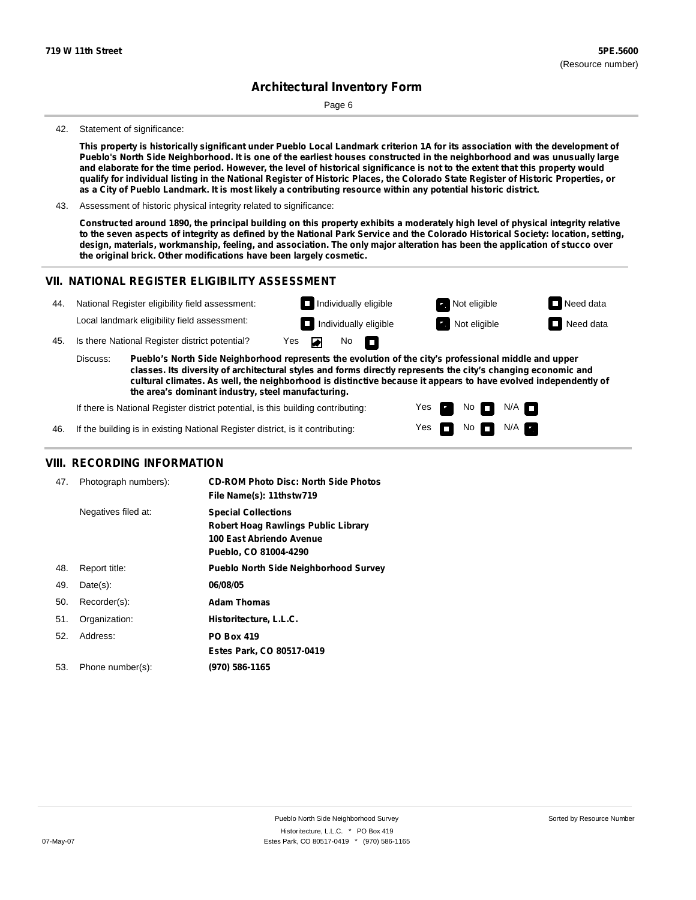Page 6

#### 42. Statement of significance:

This property is historically significant under Pueblo Local Landmark criterion 1A for its association with the development of Pueblo's North Side Neighborhood. It is one of the earliest houses constructed in the neighborhood and was unusually large and elaborate for the time period. However, the level of historical significance is not to the extent that this property would qualify for individual listing in the National Register of Historic Places, the Colorado State Register of Historic Properties, or as a City of Pueblo Landmark. It is most likely a contributing resource within any potential historic district.

43. Assessment of historic physical integrity related to significance:

Constructed around 1890, the principal building on this property exhibits a moderately high level of physical integrity relative to the seven aspects of integrity as defined by the National Park Service and the Colorado Historical Society: location, setting, design, materials, workmanship, feeling, and association. The only major alteration has been the application of stucco over **the original brick. Other modifications have been largely cosmetic.**

#### **VII. NATIONAL REGISTER ELIGIBILITY ASSESSMENT**



Yes Yes No

No  $\blacksquare$  N/A

 $N/A$ 

If there is National Register district potential, is this building contributing:

If the building is in existing National Register district, is it contributing: 46.

### **VIII. RECORDING INFORMATION**

| 47. | Photograph numbers): | <b>CD-ROM Photo Disc: North Side Photos</b><br>File Name(s): 11thstw719                                                       |
|-----|----------------------|-------------------------------------------------------------------------------------------------------------------------------|
|     | Negatives filed at:  | <b>Special Collections</b><br><b>Robert Hoag Rawlings Public Library</b><br>100 East Abriendo Avenue<br>Pueblo, CO 81004-4290 |
| 48. | Report title:        | <b>Pueblo North Side Neighborhood Survey</b>                                                                                  |
| 49. | $Date(s)$ :          | 06/08/05                                                                                                                      |
| 50. | Recorder(s):         | <b>Adam Thomas</b>                                                                                                            |
| 51. | Organization:        | Historitecture, L.L.C.                                                                                                        |
| 52. | Address:             | <b>PO Box 419</b>                                                                                                             |
|     |                      | Estes Park, CO 80517-0419                                                                                                     |
| 53. | Phone number(s):     | (970) 586-1165                                                                                                                |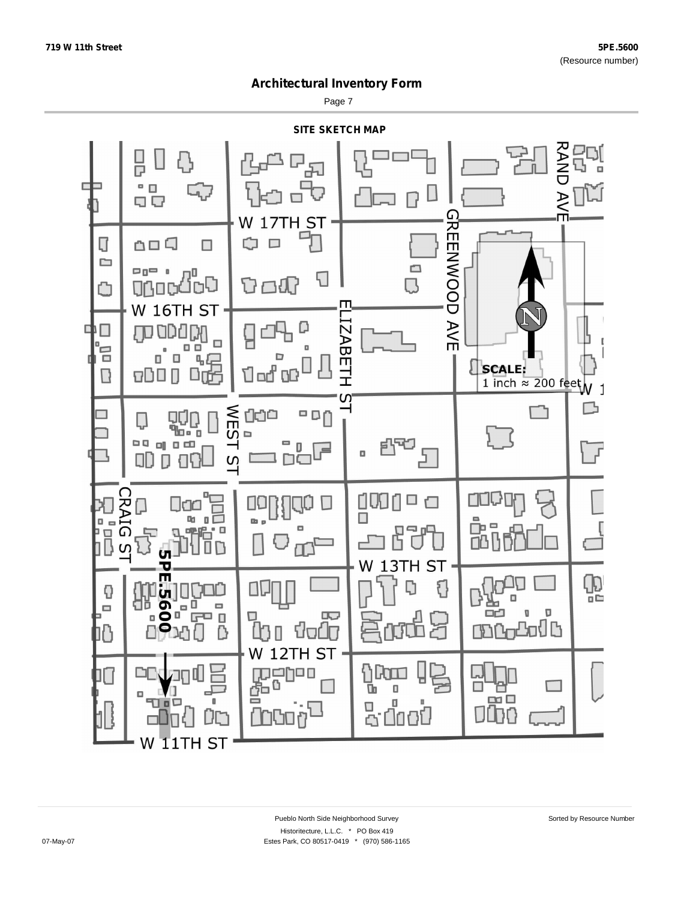Page 7